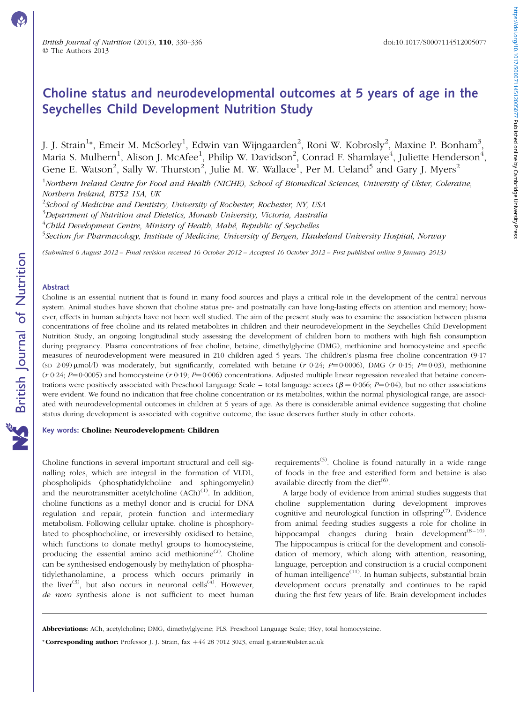# Choline status and neurodevelopmental outcomes at 5 years of age in the Seychelles Child Development Nutrition Study

J. J. Strain<sup>1</sup>\*, Emeir M. McSorley<sup>1</sup>, Edwin van Wijngaarden<sup>2</sup>, Roni W. Kobrosly<sup>2</sup>, Maxine P. Bonham<sup>3</sup>, Maria S. Mulhern $^1$ , Alison J. McAfee $^1$ , Philip W. Davidson $^2$ , Conrad F. Shamlaye $^4$ , Juliette Henderson $^4$ , Gene E. Watson<sup>2</sup>, Sally W. Thurston<sup>2</sup>, Julie M. W. Wallace<sup>1</sup>, Per M. Ueland<sup>5</sup> and Gary J. Myers<sup>2</sup>

<sup>1</sup>Northern Ireland Centre for Food and Health (NICHE), School of Biomedical Sciences, University of Ulster, Coleraine, Northern Ireland, BT52 1SA, UK

 $^{2}$ School of Medicine and Dentistry, University of Rochester, Rochester, NY, USA

 $^3$ Department of Nutrition and Dietetics, Monash University, Victoria, Australia

 $^4$ Child Development Centre, Ministry of Health, Mahé, Republic of Seychelles

<sup>5</sup>Section for Pharmacology, Institute of Medicine, University of Bergen, Haukeland University Hospital, Norway

(Submitted 6 August 2012 – Final revision received 16 October 2012 – Accepted 16 October 2012 – First published online 9 January 2013)

# Abstract

Choline is an essential nutrient that is found in many food sources and plays a critical role in the development of the central nervous system. Animal studies have shown that choline status pre- and postnatally can have long-lasting effects on attention and memory; however, effects in human subjects have not been well studied. The aim of the present study was to examine the association between plasma concentrations of free choline and its related metabolites in children and their neurodevelopment in the Seychelles Child Development Nutrition Study, an ongoing longitudinal study assessing the development of children born to mothers with high fish consumption during pregnancy. Plasma concentrations of free choline, betaine, dimethylglycine (DMG), methionine and homocysteine and specific measures of neurodevelopment were measured in 210 children aged 5 years. The children's plasma free choline concentration (9·17 (sp 2.09)  $\mu$ mol/l) was moderately, but significantly, correlated with betaine (r 0.24; P=0.0006), DMG (r 0.15; P=0.03), methionine  $(r \ 0.24; P=0.0005)$  and homocysteine  $(r \ 0.19; P=0.006)$  concentrations. Adjusted multiple linear regression revealed that betaine concentrations were positively associated with Preschool Language Scale – total language scores ( $\beta$  = 0·066; P=0·04), but no other associations were evident. We found no indication that free choline concentration or its metabolites, within the normal physiological range, are associated with neurodevelopmental outcomes in children at 5 years of age. As there is considerable animal evidence suggesting that choline status during development is associated with cognitive outcome, the issue deserves further study in other cohorts.

### Key words: Choline: Neurodevelopment: Children

Choline functions in several important structural and cell signalling roles, which are integral in the formation of VLDL, phospholipids (phosphatidylcholine and sphingomyelin) and the neurotransmitter acetylcholine  $(ACh)^{(1)}$ . In addition, choline functions as a methyl donor and is crucial for DNA regulation and repair, protein function and intermediary metabolism. Following cellular uptake, choline is phosphorylated to phosphocholine, or irreversibly oxidised to betaine, which functions to donate methyl groups to homocysteine, producing the essential amino acid methionine $^{(2)}$ . Choline can be synthesised endogenously by methylation of phosphatidylethanolamine, a process which occurs primarily in the liver<sup>(3)</sup>, but also occurs in neuronal cells<sup> $(\hat{4})$ </sup>. However, de novo synthesis alone is not sufficient to meet human

requirements<sup>(5)</sup>. Choline is found naturally in a wide range of foods in the free and esterified form and betaine is also available directly from the diet<sup> $(6)$ </sup>.

A large body of evidence from animal studies suggests that choline supplementation during development improves cognitive and neurological function in offspring<sup> $(7)$ </sup>. Evidence from animal feeding studies suggests a role for choline in hippocampal changes during brain development<sup> $(8-10)$ </sup>. The hippocampus is critical for the development and consolidation of memory, which along with attention, reasoning, language, perception and construction is a crucial component of human intelligence<sup>(11)</sup>. In human subjects, substantial brain development occurs prenatally and continues to be rapid during the first few years of life. Brain development includes

\* Corresponding author: Professor J. J. Strain, fax  $+44$  28 7012 3023, email jj.strain@ulster.ac.uk

Abbreviations: ACh, acetylcholine; DMG, dimethylglycine; PLS, Preschool Language Scale; tHcy, total homocysteine.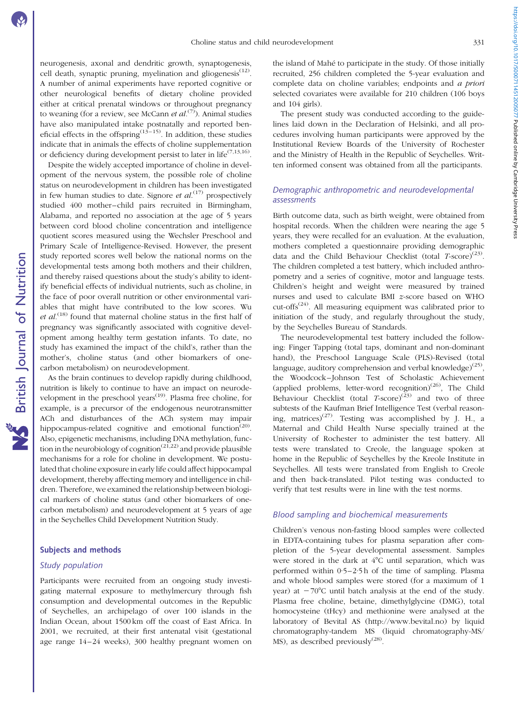neurogenesis, axonal and dendritic growth, synaptogenesis, cell death, synaptic pruning, myelination and gliogenesis<sup>(12)</sup>. A number of animal experiments have reported cognitive or other neurological benefits of dietary choline provided either at critical prenatal windows or throughout pregnancy to weaning (for a review, see McCann et  $al^{(7)}$ ). Animal studies have also manipulated intake postnatally and reported beneficial effects in the offspring<sup> $(13-15)$ </sup>. In addition, these studies indicate that in animals the effects of choline supplementation or deficiency during development persist to later in life<sup> $(7,13,16)$ </sup>.

Despite the widely accepted importance of choline in development of the nervous system, the possible role of choline status on neurodevelopment in children has been investigated in few human studies to date. Signore et  $al$ .<sup>(17)</sup> prospectively studied 400 mother–child pairs recruited in Birmingham, Alabama, and reported no association at the age of 5 years between cord blood choline concentration and intelligence quotient scores measured using the Wechsler Preschool and Primary Scale of Intelligence-Revised. However, the present study reported scores well below the national norms on the developmental tests among both mothers and their children, and thereby raised questions about the study's ability to identify beneficial effects of individual nutrients, such as choline, in the face of poor overall nutrition or other environmental variables that might have contributed to the low scores. Wu *et al.*<sup>(18)</sup> found that maternal choline status in the first half of pregnancy was significantly associated with cognitive development among healthy term gestation infants. To date, no study has examined the impact of the child's, rather than the mother's, choline status (and other biomarkers of onecarbon metabolism) on neurodevelopment.

As the brain continues to develop rapidly during childhood, nutrition is likely to continue to have an impact on neurodevelopment in the preschool years<sup>(19)</sup>. Plasma free choline, for example, is a precursor of the endogenous neurotransmitter ACh and disturbances of the ACh system may impair hippocampus-related cognitive and emotional function<sup>(20)</sup>. Also, epigenetic mechanisms, including DNA methylation, function in the neurobiology of cognition<sup> $(21,22)$ </sup> and provide plausible mechanisms for a role for choline in development. We postulated that choline exposure in early life could affect hippocampal development, thereby affecting memory and intelligence in children. Therefore, we examined the relationship between biological markers of choline status (and other biomarkers of onecarbon metabolism) and neurodevelopment at 5 years of age in the Seychelles Child Development Nutrition Study.

# Subjects and methods

# Study population

Participants were recruited from an ongoing study investigating maternal exposure to methylmercury through fish consumption and developmental outcomes in the Republic of Seychelles, an archipelago of over 100 islands in the Indian Ocean, about 1500 km off the coast of East Africa. In 2001, we recruited, at their first antenatal visit (gestational age range 14–24 weeks), 300 healthy pregnant women on

the island of Mahé to participate in the study. Of those initially recruited, 256 children completed the 5-year evaluation and complete data on choline variables; endpoints and a priori selected covariates were available for 210 children (106 boys and 104 girls).

The present study was conducted according to the guidelines laid down in the Declaration of Helsinki, and all procedures involving human participants were approved by the Institutional Review Boards of the University of Rochester and the Ministry of Health in the Republic of Seychelles. Written informed consent was obtained from all the participants.

# Demographic anthropometric and neurodevelopmental assessments

Birth outcome data, such as birth weight, were obtained from hospital records. When the children were nearing the age 5 years, they were recalled for an evaluation. At the evaluation, mothers completed a questionnaire providing demographic data and the Child Behaviour Checklist (total  $T\text{-score}^{(23)}$ . The children completed a test battery, which included anthropometry and a series of cognitive, motor and language tests. Children's height and weight were measured by trained nurses and used to calculate BMI z-score based on WHO cut-offs<sup> $(24)$ </sup>. All measuring equipment was calibrated prior to initiation of the study, and regularly throughout the study, by the Seychelles Bureau of Standards.

The neurodevelopmental test battery included the following: Finger Tapping (total taps, dominant and non-dominant hand), the Preschool Language Scale (PLS)-Revised (total language, auditory comprehension and verbal knowledge)<sup>(25)</sup>. the Woodcock–Johnson Test of Scholastic Achievement (applied problems, letter-word recognition)<sup>(26)</sup>, The Child Behaviour Checklist (total  $T\text{-score}^{(23)}$  and two of three subtests of the Kaufman Brief Intelligence Test (verbal reasoning, matrices)<sup>(27)</sup>. Testing was accomplished by J. H., a Maternal and Child Health Nurse specially trained at the University of Rochester to administer the test battery. All tests were translated to Creole, the language spoken at home in the Republic of Seychelles by the Kreole Institute in Seychelles. All tests were translated from English to Creole and then back-translated. Pilot testing was conducted to verify that test results were in line with the test norms.

# Blood sampling and biochemical measurements

Children's venous non-fasting blood samples were collected in EDTA-containing tubes for plasma separation after completion of the 5-year developmental assessment. Samples were stored in the dark at  $4^{\circ}$ C until separation, which was performed within 0·5–2·5 h of the time of sampling. Plasma and whole blood samples were stored (for a maximum of 1 year) at  $-70^{\circ}$ C until batch analysis at the end of the study. Plasma free choline, betaine, dimethylglycine (DMG), total homocysteine (tHcy) and methionine were analysed at the laboratory of Bevital AS (http://www.bevital.no) by liquid chromatography-tandem MS (liquid chromatography-MS/ MS), as described previously $^{(28)}$ .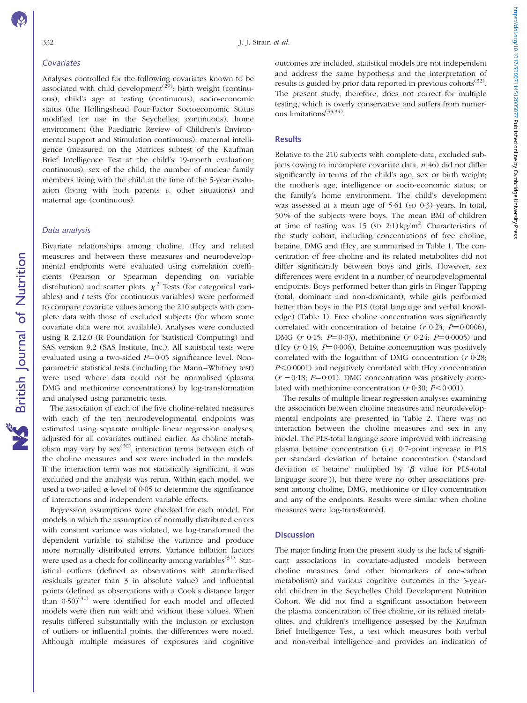Analyses controlled for the following covariates known to be associated with child development<sup> $(29)$ </sup>: birth weight (continuous), child's age at testing (continuous), socio-economic status (the Hollingshead Four-Factor Socioeconomic Status modified for use in the Seychelles; continuous), home environment (the Paediatric Review of Children's Environmental Support and Stimulation continuous), maternal intelligence (measured on the Matrices subtest of the Kaufman Brief Intelligence Test at the child's 19-month evaluation; continuous), sex of the child, the number of nuclear family members living with the child at the time of the 5-year evaluation (living with both parents  $v$ , other situations) and maternal age (continuous).

# Data analysis

Bivariate relationships among choline, tHcy and related measures and between these measures and neurodevelopmental endpoints were evaluated using correlation coefficients (Pearson or Spearman depending on variable distribution) and scatter plots.  $\chi^2$  Tests (for categorical variables) and t tests (for continuous variables) were performed to compare covariate values among the 210 subjects with complete data with those of excluded subjects (for whom some covariate data were not available). Analyses were conducted using R 2.12.0 (R Foundation for Statistical Computing) and SAS version 9.2 (SAS Institute, Inc.). All statistical tests were evaluated using a two-sided  $P=0.05$  significance level. Nonparametric statistical tests (including the Mann–Whitney test) were used where data could not be normalised (plasma DMG and methionine concentrations) by log-transformation and analysed using parametric tests.

The association of each of the five choline-related measures with each of the ten neurodevelopmental endpoints was estimated using separate multiple linear regression analyses, adjusted for all covariates outlined earlier. As choline metabolism may vary by  $sex^{(30)}$ , interaction terms between each of the choline measures and sex were included in the models. If the interaction term was not statistically significant, it was excluded and the analysis was rerun. Within each model, we used a two-tailed  $\alpha$ -level of 0.05 to determine the significance of interactions and independent variable effects.

Regression assumptions were checked for each model. For models in which the assumption of normally distributed errors with constant variance was violated, we log-transformed the dependent variable to stabilise the variance and produce more normally distributed errors. Variance inflation factors were used as a check for collinearity among variables<sup> $(31)$ </sup>. Statistical outliers (defined as observations with standardised residuals greater than 3 in absolute value) and influential points (defined as observations with a Cook's distance larger than  $0.50^{(31)}$  were identified for each model and affected models were then run with and without these values. When results differed substantially with the inclusion or exclusion of outliers or influential points, the differences were noted. Although multiple measures of exposures and cognitive

outcomes are included, statistical models are not independent and address the same hypothesis and the interpretation of results is guided by prior data reported in previous cohorts<sup>(32)</sup>. The present study, therefore, does not correct for multiple testing, which is overly conservative and suffers from numerous limitations(33,34).

# **Results**

Relative to the 210 subjects with complete data, excluded subjects (owing to incomplete covariate data,  $n/46$ ) did not differ significantly in terms of the child's age, sex or birth weight; the mother's age, intelligence or socio-economic status; or the family's home environment. The child's development was assessed at a mean age of 5.61 (sp 0.3) years. In total, 50 % of the subjects were boys. The mean BMI of children at time of testing was 15 (sp  $2.1$ ) kg/m<sup>2</sup>. Characteristics of the study cohort, including concentrations of free choline, betaine, DMG and tHcy, are summarised in [Table 1](#page-3-0). The concentration of free choline and its related metabolites did not differ significantly between boys and girls. However, sex differences were evident in a number of neurodevelopmental endpoints. Boys performed better than girls in Finger Tapping (total, dominant and non-dominant), while girls performed better than boys in the PLS (total language and verbal knowledge) [\(Table 1\)](#page-3-0). Free choline concentration was significantly correlated with concentration of betaine ( $r \theta$ -24;  $P=0.0006$ ), DMG  $(r \ 0.15; P=0.03)$ , methionine  $(r \ 0.24; P=0.0005)$  and tHcy  $(r 0.19; P=0.006)$ . Betaine concentration was positively correlated with the logarithm of DMG concentration (r 0·28;  $P<0.0001$ ) and negatively correlated with tHcy concentration  $(r - 0.18; P = 0.01)$ . DMG concentration was positively correlated with methionine concentration ( $r \theta$ -30;  $P < 0.001$ ).

The results of multiple linear regression analyses examining the association between choline measures and neurodevelopmental endpoints are presented in [Table 2](#page-4-0). There was no interaction between the choline measures and sex in any model. The PLS-total language score improved with increasing plasma betaine concentration (i.e. 0·7-point increase in PLS per standard deviation of betaine concentration ('standard deviation of betaine' multiplied by ' $\beta$  value for PLS-total language score')), but there were no other associations present among choline, DMG, methionine or tHcy concentration and any of the endpoints. Results were similar when choline measures were log-transformed.

### **Discussion**

The major finding from the present study is the lack of significant associations in covariate-adjusted models between choline measures (and other biomarkers of one-carbon metabolism) and various cognitive outcomes in the 5-yearold children in the Seychelles Child Development Nutrition Cohort. We did not find a significant association between the plasma concentration of free choline, or its related metabolites, and children's intelligence assessed by the Kaufman Brief Intelligence Test, a test which measures both verbal and non-verbal intelligence and provides an indication of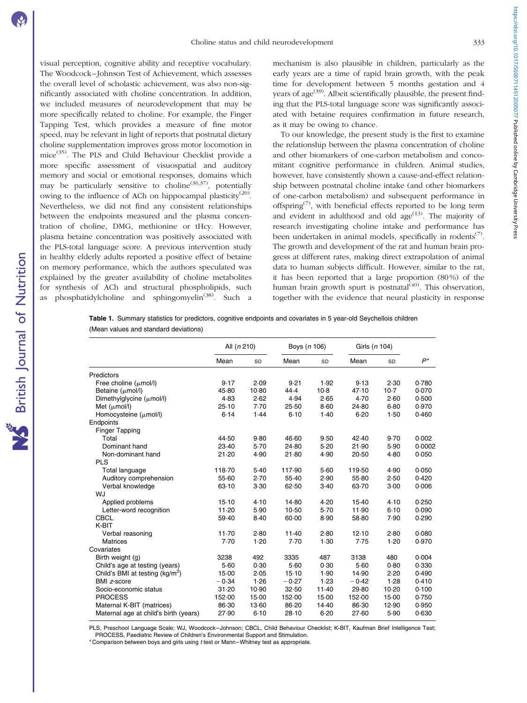<span id="page-3-0"></span>visual perception, cognitive ability and receptive vocabulary. The Woodcock–Johnson Test of Achievement, which assesses the overall level of scholastic achievement, was also non-significantly associated with choline concentration. In addition, we included measures of neurodevelopment that may be more specifically related to choline. For example, the Finger Tapping Test, which provides a measure of fine motor speed, may be relevant in light of reports that postnatal dietary choline supplementation improves gross motor locomotion in mice(35). The PLS and Child Behaviour Checklist provide a more specific assessment of visuospatial and auditory memory and social or emotional responses, domains which may be particularly sensitive to choline<sup> $(36,37)$ </sup>, potentially owing to the influence of ACh on hippocampal plasticity<sup>(20)</sup>. Nevertheless, we did not find any consistent relationships between the endpoints measured and the plasma concentration of choline, DMG, methionine or tHcy. However, plasma betaine concentration was positively associated with the PLS-total language score. A previous intervention study in healthy elderly adults reported a positive effect of betaine on memory performance, which the authors speculated was explained by the greater availability of choline metabolites for synthesis of ACh and structural phospholipids, such phosphatidylcholine and sphingomyelin<sup> $(38)$ </sup>. Such a

mechanism is also plausible in children, particularly as the early years are a time of rapid brain growth, with the peak time for development between 5 months gestation and 4 years of age<sup> $(39)$ </sup>. Albeit scientifically plausible, the present finding that the PLS-total language score was significantly associated with betaine requires confirmation in future research, as it may be owing to chance.

To our knowledge, the present study is the first to examine the relationship between the plasma concentration of choline and other biomarkers of one-carbon metabolism and concomitant cognitive performance in children. Animal studies, however, have consistently shown a cause-and-effect relationship between postnatal choline intake (and other biomarkers of one-carbon metabolism) and subsequent performance in offspring<sup> $(7)$ </sup>, with beneficial effects reported to be long term and evident in adulthood and old  $\text{age}^{(13)}$ . The majority of research investigating choline intake and performance has been undertaken in animal models, specifically in rodents<sup> $(7)$ </sup>. The growth and development of the rat and human brain progress at different rates, making direct extrapolation of animal data to human subjects difficult. However, similar to the rat, it has been reported that a large proportion (80 %) of the human brain growth spurt is postnatal $\bar{A}^{(40)}$ . This observation, together with the evidence that neural plasticity in response

Table 1. Summary statistics for predictors, cognitive endpoints and covariates in 5 year-old Seychellois children (Mean values and standard deviations)

|                                       | All (n 210) |          | Boys (n 106) |          | Girls (n 104) |         |        |
|---------------------------------------|-------------|----------|--------------|----------|---------------|---------|--------|
|                                       | Mean        | SD       | Mean         | SD       | Mean          | SD      | $P^*$  |
| Predictors                            |             |          |              |          |               |         |        |
| Free choline $(\mu \text{mol/l})$     | 9.17        | 2.09     | 9.21         | 1.92     | 9.13          | 2.30    | 0.780  |
| Betaine (µmol/l)                      | 45.80       | $10-80$  | 44.4         | $10-8$   | 47.10         | $10-7$  | 0.070  |
| Dimethylglycine (µmol/l)              | 4.83        | 2.62     | 4.94         | 2.65     | 4.70          | 2.60    | 0.500  |
| Met $(\mu \text{mol/l})$              | 25.10       | 7.70     | 25.50        | $8 - 60$ | 24.80         | 6.80    | 0.970  |
| Homocysteine ( $\mu$ mol/l)           | 6.14        | 1.44     | $6-10$       | 1.40     | 6.20          | 1.50    | 0.460  |
| Endpoints                             |             |          |              |          |               |         |        |
| <b>Finger Tapping</b>                 |             |          |              |          |               |         |        |
| Total                                 | 44.50       | $9 - 80$ | 46.60        | 9.50     | 42.40         | 9.70    | 0.002  |
| Dominant hand                         | 23.40       | $5-70$   | 24.80        | 5.20     | 21.90         | 5.90    | 0.0002 |
| Non-dominant hand                     | 21.20       | 4.90     | 21.80        | 4.90     | 20.50         | 4.80    | 0.050  |
| <b>PLS</b>                            |             |          |              |          |               |         |        |
| Total language                        | 118.70      | 5.40     | 117.90       | 5.60     | 119.50        | 4.90    | 0.050  |
| Auditory comprehension                | 55.60       | 2.70     | $55-40$      | 2.90     | $55 - 80$     | 2.50    | 0.420  |
| Verbal knowledge                      | 63.10       | 3.30     | 62.50        | $3-40$   | 63.70         | 3.00    | 0.006  |
| WJ                                    |             |          |              |          |               |         |        |
| Applied problems                      | 15.10       | 4.10     | 14.80        | 4.20     | $15-40$       | 4.10    | 0.250  |
| Letter-word recognition               | 11.20       | 5.90     | 10.50        | 5.70     | 11.90         | 6.10    | 0.090  |
| <b>CBCL</b>                           | 59.40       | $8-40$   | 60.00        | 8.90     | 58-80         | 7.90    | 0.290  |
| K-BIT                                 |             |          |              |          |               |         |        |
| Verbal reasoning                      | 11.70       | 2.80     | $11-40$      | 2.80     | 12.10         | 2.80    | 0.080  |
| <b>Matrices</b>                       | 7.70        | 1.20     | 7.70         | 1.30     | 7.75          | 1.20    | 0.970  |
| Covariates                            |             |          |              |          |               |         |        |
| Birth weight (g)                      | 3238        | 492      | 3335         | 487      | 3138          | 480     | 0.004  |
| Child's age at testing (years)        | 5.60        | 0.30     | 5.60         | 0.30     | 5.60          | 0.80    | 0.330  |
| Child's BMI at testing $(kg/m^2)$     | 15.00       | 2.05     | 15.10        | 1.90     | 14.90         | 2.20    | 0.490  |
| BMI z-score                           | $-0.34$     | 1.26     | $-0.27$      | 1.23     | $-0.42$       | 1.28    | 0.410  |
| Socio-economic status                 | 31.20       | 10.90    | 32.50        | $11-40$  | 29.80         | $10-20$ | 0.100  |
| <b>PROCESS</b>                        | 152.00      | 15.00    | 152.00       | $15-00$  | 152.00        | 15.00   | 0.750  |
| Maternal K-BIT (matrices)             | 86-30       | 13.60    | 86-20        | 14.40    | 86.30         | 12.90   | 0.950  |
| Maternal age at child's birth (years) | 27.90       | 6.10     | 28.10        | 6.20     | 27.60         | 5.90    | 0.630  |

PLS, Preschool Language Scale; WJ, Woodcock–Johnson; CBCL, Child Behaviour Checklist; K-BIT, Kaufman Brief Intelligence Test; PROCESS, Paediatric Review of Children's Environmental Support and Stimulation.

\* Comparison between boys and girls using t test or Mann–Whitney test as appropriate.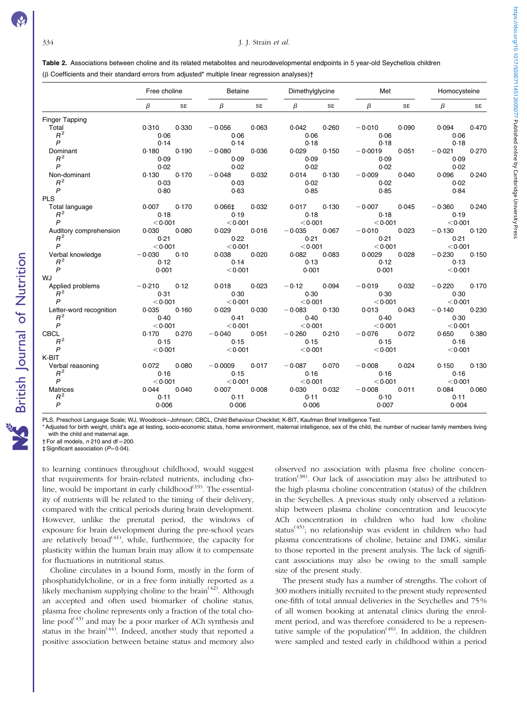<span id="page-4-0"></span>Table 2. Associations between choline and its related metabolites and neurodevelopmental endpoints in 5 year-old Seychellois children (b Coefficients and their standard errors from adjusted\* multiple linear regression analyses)†

Free choline **Betaine** Betaine Dimethylglycine Met Met Homocysteine  $\beta$  SE  $\beta$  SE  $\beta$  SE  $\beta$  SE  $\beta$  SE Finger Tapping Total 0·310 0·330 20·056 0·063 0·042 0·260 20·010 0·090 0·094 0·470 R <sup>2</sup> 0·06 0·06 0·06 0·06 0·06  $P$  0·14 0·14 0·14 0·18 0·18 0·18 0·18 Dominant 0·180 0·190 20·080 0·036 0·029 0·150 20·0019 0·051 20·021 0·270 R <sup>2</sup> 0·09 0·09 0·09 0·09 0·09 P 0·02 0·02 0·02 0·02 0·02 Non-dominant 0-130 0-170 0-032 0-014 0-130 0-040 0-096 0-240  $R^2$  0.03 0.03 0.02 0.02 0.02 0.02  $P$  0·80 0·63 0·85 0·85 0·84 0·85 0·84 PLS<br>Total language Total language 0·007 0·170 0·066‡ 0·032 0·017 0·130 20·007 0·045 20·360 0·240  $R^2$  0.18 0.18 0.19 0.19 0.18 0.19 0.19  $P$  ,0001 ,0001 ,0001 ,0001 ,0001 ,0001 ,0001 ,0001 ,0001 ,0001 ,0001 ,0001 ,0001 ,0001 ,0001 ,0001 ,0001 ,0001 ,0001 ,0001 ,0001 ,0001 ,0001 ,0001 ,0001 ,0001 ,0001 ,0001 ,0001 ,0001 ,0001 ,0001 ,0001 ,0001 ,0001 ,0001 , Auditory comprehension 0·030 0·080 0·029 0·016 20·035 0·067 20·010 0·023 20·130 0·120  $R^2$  0.21 0.21 0.22 0.21 0.21 0.21 0.21  $P$  ,0001 ,0001 ,0001 ,0001 ,0001 ,0001 ,0001 ,0001 ,0001 ,0001 ,0001 ,0001 ,0001 ,0001 ,0001 ,0001 ,0001 ,0001 ,0001 ,0001 ,0001 ,0001 ,0001 ,0001 ,0001 ,0001 ,0001 ,0001 ,0001 ,0001 ,0001 ,0001 ,0001 ,0001 ,0001 ,0001 , Verbal knowledge  $-0.030$  0·10 0·038 0·020 0·082 0·083 0·0029 0·028 -0·230 0·150<br> $R^2$  0·12 0·12 0·14 0·13 0·12  $R^2$  0·12 0·12 0·14 0·13 0·12 0·13  $P$  0·001  $< 0.001$   $< 0.001$  0·001 0·001  $< 0.001$ W.I Applied problems  $-0.210$   $-0.12$   $-0.018$   $-0.023$   $-0.12$   $-0.094$   $-0.019$   $-0.032$   $-0.220$   $-0.170$ <br> $0.30$   $0.30$   $0.30$ R <sup>2</sup> 0·31 0·30 0·30 0·30 0·30  $P$  , and  $P$  , and  $P$  , and  $P$  , and  $P$  , and  $P$  , and  $P$  , and  $P$  , and  $P$  , and  $P$  , and  $P$  , and  $P$  , and  $P$  , and  $P$  , and  $P$  , and  $P$  , and  $P$  , and  $P$  , and  $P$  , and  $P$  , and  $P$  , and  $P$  , and Letter-word recognition 0·035 0·160 0·029 0·030 20·083 0·130 0·013 0·043 20·140 0·230  $R^2$  0.40 0.40 0.41 0.40 0.40 0.30  $P$  ,0001 ,0001 ,0001 ,0001 ,0001 ,0001 ,0001 ,0001 ,0001 ,0001 ,0001 ,0001 ,0001 ,0001 ,0001 ,0001 ,0001 ,0001 ,0001 ,0001 ,0001 ,0001 ,0001 ,0001 ,0001 ,0001 ,0001 ,0001 ,0001 ,0001 ,0001 ,0001 ,0001 ,0001 ,0001 ,0001 , CBCL 0·170 0·270 20·040 0·051 20·260 0·210 20·076 0·072 0·650 0·380  $R^2$  0.15 0.16 0.15 0.16 0.16 0.16 0.16 0.16  $P$  ,0001 ,0001 ,0001 ,0001 ,0001 ,0001 ,0001 ,0001 ,0001 ,0001 ,0001 ,0001 ,0001 ,0001 ,0001 ,0001 ,0001 ,0001 ,0001 ,0001 ,0001 ,0001 ,0001 ,0001 ,0001 ,0001 ,0001 ,0001 ,0001 ,0001 ,0001 ,0001 ,0001 ,0001 ,0001 ,0001 , K-BIT Verbal reasoning 0·072 0·080 -0·0009 0·017 -0·087 0·070 -0·008 0·024 0·150 0·130  $R^2$  0.16 0.16 0.16 0.16 0.16 0.16 0.16  $P$  ,0001 ,0001 ,0001 ,0001 ,0001 ,0001 ,0001 ,0001 ,0001 ,0001 ,0001 ,0001 ,0001 ,0001 ,0001 ,0001 ,0001 ,0001 ,0001 ,0001 ,0001 ,0001 ,0001 ,0001 ,0001 ,0001 ,0001 ,0001 ,0001 ,0001 ,0001 ,0001 ,0001 ,0001 ,0001 ,0001 , Matrices 0·044 0·040 0·007 0·008 0·030 0·032 20·008 0·011 0·084 0·060  $R^2$  0-11 0-11 0-11 0-11 0-11 0-10 0-11 0-11 P 0·006 0·006 0·006 0·007 0·004

PLS, Preschool Language Scale; WJ, Woodcock–Johnson; CBCL, Child Behaviour Checklist; K-BIT, Kaufman Brief Intelligence Test.

\* Adjusted for birth weight, child's age at testing, socio-economic status, home environment, maternal intelligence, sex of the child, the number of nuclear family members living with the child and maternal age.

 $\dagger$  For all models, n 210 and df = 200

 $±$  Significant association ( $P=0.04$ ).

to learning continues throughout childhood, would suggest that requirements for brain-related nutrients, including choline, would be important in early childhood $(19)$ . The essentiality of nutrients will be related to the timing of their delivery, compared with the critical periods during brain development. However, unlike the prenatal period, the windows of exposure for brain development during the pre-school years are relatively broad<sup> $(41)$ </sup>, while, furthermore, the capacity for plasticity within the human brain may allow it to compensate for fluctuations in nutritional status.

Choline circulates in a bound form, mostly in the form of phosphatidylcholine, or in a free form initially reported as a likely mechanism supplying choline to the brain<sup> $(42)$ </sup>. Although an accepted and often used biomarker of choline status, plasma free choline represents only a fraction of the total choline  $pool^{(43)}$  and may be a poor marker of ACh synthesis and status in the brain<sup> $(44)$ </sup>. Indeed, another study that reported a positive association between betaine status and memory also

observed no association with plasma free choline concentration<sup>(38)</sup>. Our lack of association may also be attributed to the high plasma choline concentration (status) of the children in the Seychelles. A previous study only observed a relationship between plasma choline concentration and leucocyte ACh concentration in children who had low choline status<sup>(45)</sup>; no relationship was evident in children who had plasma concentrations of choline, betaine and DMG, similar to those reported in the present analysis. The lack of significant associations may also be owing to the small sample size of the present study.

The present study has a number of strengths. The cohort of 300 mothers initially recruited to the present study represented one-fifth of total annual deliveries in the Seychelles and 75 % of all women booking at antenatal clinics during the enrolment period, and was therefore considered to be a representative sample of the population<sup> $(46)$ </sup>. In addition, the children were sampled and tested early in childhood within a period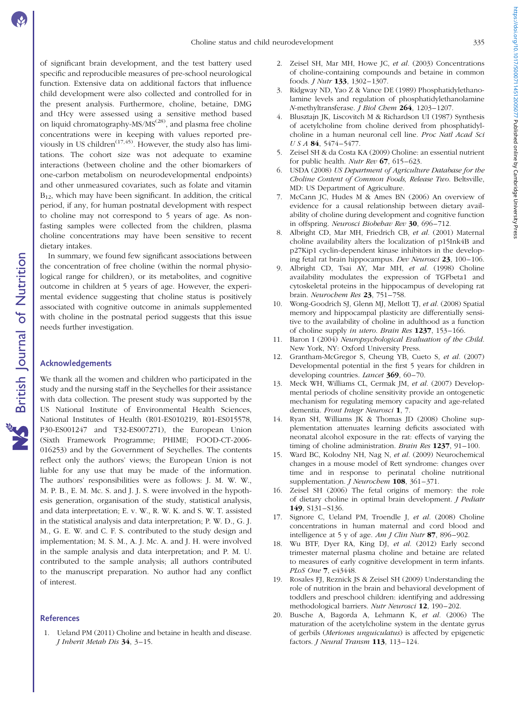of significant brain development, and the test battery used specific and reproducible measures of pre-school neurological function. Extensive data on additional factors that influence child development were also collected and controlled for in the present analysis. Furthermore, choline, betaine, DMG and tHcy were assessed using a sensitive method based on liquid chromatography-MS/MS<sup>(28)</sup>, and plasma free choline concentrations were in keeping with values reported previously in US children<sup> $(17,45)$ </sup>. However, the study also has limitations. The cohort size was not adequate to examine interactions (between choline and the other biomarkers of one-carbon metabolism on neurodevelopmental endpoints) and other unmeasured covariates, such as folate and vitamin  $B_{12}$ , which may have been significant. In addition, the critical period, if any, for human postnatal development with respect to choline may not correspond to 5 years of age. As nonfasting samples were collected from the children, plasma choline concentrations may have been sensitive to recent dietary intakes.

In summary, we found few significant associations between the concentration of free choline (within the normal physiological range for children), or its metabolites, and cognitive outcome in children at 5 years of age. However, the experimental evidence suggesting that choline status is positively associated with cognitive outcome in animals supplemented with choline in the postnatal period suggests that this issue needs further investigation.

# Acknowledgements

We thank all the women and children who participated in the study and the nursing staff in the Seychelles for their assistance with data collection. The present study was supported by the US National Institute of Environmental Health Sciences, National Institutes of Health (R01-ES010219, R01-ES015578, P30-ES001247 and T32-ES007271), the European Union (Sixth Framework Programme; PHIME; FOOD-CT-2006- 016253) and by the Government of Seychelles. The contents reflect only the authors' views; the European Union is not liable for any use that may be made of the information. The authors' responsibilities were as follows: J. M. W. W., M. P. B., E. M. Mc. S. and J. J. S. were involved in the hypothesis generation, organisation of the study, statistical analysis, and data interpretation; E. v. W., R. W. K. and S. W. T. assisted in the statistical analysis and data interpretation; P. W. D., G. J. M., G. E. W. and C. F. S. contributed to the study design and implementation; M. S. M., A. J. Mc. A. and J. H. were involved in the sample analysis and data interpretation; and P. M. U. contributed to the sample analysis; all authors contributed to the manuscript preparation. No author had any conflict of interest.

### **References**

1. Ueland PM (2011) Choline and betaine in health and disease. J Inherit Metab Dis 34, 3–15.

- 2. Zeisel SH, Mar MH, Howe JC, et al. (2003) Concentrations of choline-containing compounds and betaine in common foods. J Nutr 133, 1302–1307.
- 3. Ridgway ND, Yao Z & Vance DE (1989) Phosphatidylethanolamine levels and regulation of phosphatidylethanolamine N-methyltransferase. *I Biol Chem* 264, 1203-1207.
- 4. Blusztajn JK, Liscovitch M & Richardson UI (1987) Synthesis of acetylcholine from choline derived from phosphatidylcholine in a human neuronal cell line. Proc Natl Acad Sci USA 84, 5474-5477.
- 5. Zeisel SH & da Costa KA (2009) Choline: an essential nutrient for public health. Nutr Rev  $67, 615-623$ .
- 6. USDA (2008) US Department of Agriculture Database for the Choline Content of Common Foods, Release Two. Beltsville, MD: US Department of Agriculture.
- 7. McCann JC, Hudes M & Ames BN (2006) An overview of evidence for a causal relationship between dietary availability of choline during development and cognitive function in offspring. Neurosci Biobehav Rev 30, 696–712.
- 8. Albright CD, Mar MH, Friedrich CB, et al. (2001) Maternal choline availability alters the localization of p15Ink4B and p27Kip1 cyclin-dependent kinase inhibitors in the developing fetal rat brain hippocampus. Dev Neurosci 23, 100–106.
- 9. Albright CD, Tsai AY, Mar MH, et al. (1998) Choline availability modulates the expression of TGFbeta1 and cytoskeletal proteins in the hippocampus of developing rat brain. Neurochem Res 23, 751-758.
- 10. Wong-Goodrich SJ, Glenn MJ, Mellott TJ, et al. (2008) Spatial memory and hippocampal plasticity are differentially sensitive to the availability of choline in adulthood as a function of choline supply in utero. Brain Res 1237, 153–166.
- 11. Baron I (2004) Neuropsychological Evaluation of the Child. New York, NY: Oxford University Press.
- 12. Grantham-McGregor S, Cheung YB, Cueto S, et al. (2007) Developmental potential in the first 5 years for children in developing countries. *Lancet* 369, 60-70.
- 13. Meck WH, Williams CL, Cermak JM, et al. (2007) Developmental periods of choline sensitivity provide an ontogenetic mechanism for regulating memory capacity and age-related dementia. Front Integr Neurosci 1, 7.
- 14. Ryan SH, Williams JK & Thomas JD (2008) Choline supplementation attenuates learning deficits associated with neonatal alcohol exposure in the rat: effects of varying the timing of choline administration. Brain Res 1237, 91-100.
- 15. Ward BC, Kolodny NH, Nag N, et al. (2009) Neurochemical changes in a mouse model of Rett syndrome: changes over time and in response to perinatal choline nutritional supplementation. *J Neurochem* 108, 361-371.
- 16. Zeisel SH (2006) The fetal origins of memory: the role of dietary choline in optimal brain development. J Pediatr 149, S131–S136.
- 17. Signore C, Ueland PM, Troendle J, et al. (2008) Choline concentrations in human maternal and cord blood and intelligence at 5 y of age.  $Am J$  Clin Nutr 87, 896–902.
- 18. Wu BTF, Dyer RA, King DJ, et al. (2012) Early second trimester maternal plasma choline and betaine are related to measures of early cognitive development in term infants. PLoS One 7, e43448.
- 19. Rosales FJ, Reznick JS & Zeisel SH (2009) Understanding the role of nutrition in the brain and behavioral development of toddlers and preschool children: identifying and addressing methodological barriers. Nutr Neurosci 12, 190–202.
- 20. Busche A, Bagorda A, Lehmann K, et al. (2006) The maturation of the acetylcholine system in the dentate gyrus of gerbils (Meriones unguiculatus) is affected by epigenetic factors. *J Neural Transm* **113**, 113-124.